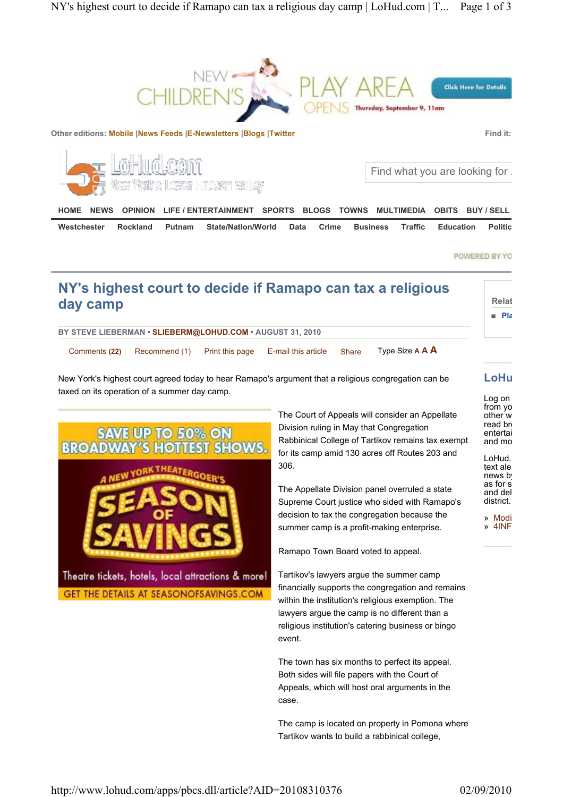

POWERED BY YO

| NY's highest court to decide if Ramapo can tax a religious<br>day camp                                                                               | <b>Relat</b><br>∎ Pla                                                                                                                                                                                                                                                                                                                                                                                                                                                                                                                                                                                                                                                                                                                                          |  |
|------------------------------------------------------------------------------------------------------------------------------------------------------|----------------------------------------------------------------------------------------------------------------------------------------------------------------------------------------------------------------------------------------------------------------------------------------------------------------------------------------------------------------------------------------------------------------------------------------------------------------------------------------------------------------------------------------------------------------------------------------------------------------------------------------------------------------------------------------------------------------------------------------------------------------|--|
| BY STEVE LIEBERMAN · SLIEBERM@LOHUD.COM · AUGUST 31, 2010                                                                                            |                                                                                                                                                                                                                                                                                                                                                                                                                                                                                                                                                                                                                                                                                                                                                                |  |
| Comments (22)<br>Recommend (1)<br>Print this page                                                                                                    | Type Size A A A<br>E-mail this article<br><b>Share</b>                                                                                                                                                                                                                                                                                                                                                                                                                                                                                                                                                                                                                                                                                                         |  |
| New York's highest court agreed today to hear Ramapo's argument that a religious congregation can be<br>taxed on its operation of a summer day camp. | LoHu<br>Log on                                                                                                                                                                                                                                                                                                                                                                                                                                                                                                                                                                                                                                                                                                                                                 |  |
| <b>SAVE UP TO 50% ON</b><br>HOT<br><b>BROAD</b><br>Theatre tickets, hotels, local attractions & more!<br>GET THE DETAILS AT SEASONOFSAVINGS.COM      | from yo<br>The Court of Appeals will consider an Appellate<br>other w<br>read br<br>Division ruling in May that Congregation<br>entertai<br>Rabbinical College of Tartikov remains tax exempt<br>and mo<br>for its camp amid 130 acres off Routes 203 and<br>LoHud.<br>306.<br>text ale<br>news b<br>as for s<br>The Appellate Division panel overruled a state<br>and del<br>district.<br>Supreme Court justice who sided with Ramapo's<br>decision to tax the congregation because the<br>» Modi<br>$\lambda$ 4INF<br>summer camp is a profit-making enterprise.<br>Ramapo Town Board voted to appeal.<br>Tartikov's lawyers argue the summer camp<br>financially supports the congregation and remains<br>within the institution's religious exemption. The |  |
|                                                                                                                                                      | lawyers argue the camp is no different than a<br>religious institution's catering business or bingo<br>event.                                                                                                                                                                                                                                                                                                                                                                                                                                                                                                                                                                                                                                                  |  |
|                                                                                                                                                      | The town has six months to perfect its appeal.<br>Both sides will file papers with the Court of<br>Appeals, which will host oral arguments in the<br>case.                                                                                                                                                                                                                                                                                                                                                                                                                                                                                                                                                                                                     |  |
|                                                                                                                                                      | The camp is located on property in Pomona where                                                                                                                                                                                                                                                                                                                                                                                                                                                                                                                                                                                                                                                                                                                |  |

Tartikov wants to build a rabbinical college,